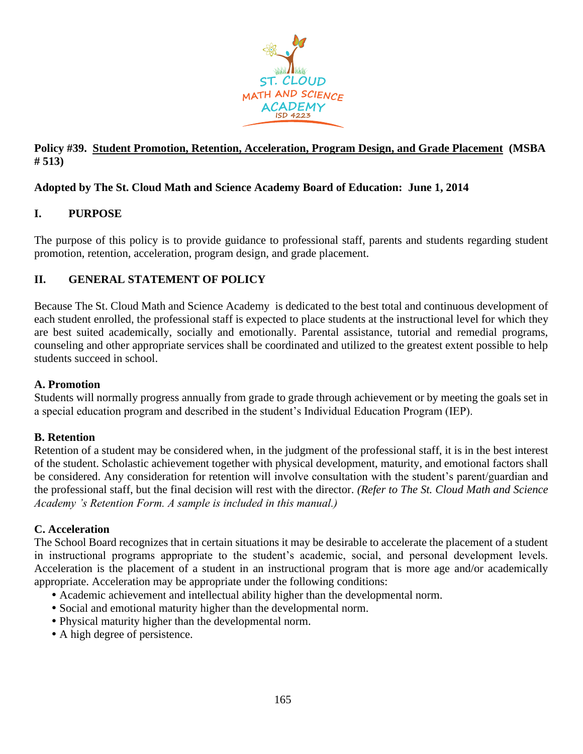

### **Policy #39. Student Promotion, Retention, Acceleration, Program Design, and Grade Placement (MSBA # 513)**

# **Adopted by The St. Cloud Math and Science Academy Board of Education: June 1, 2014**

# **I. PURPOSE**

The purpose of this policy is to provide guidance to professional staff, parents and students regarding student promotion, retention, acceleration, program design, and grade placement.

# **II. GENERAL STATEMENT OF POLICY**

Because The St. Cloud Math and Science Academy is dedicated to the best total and continuous development of each student enrolled, the professional staff is expected to place students at the instructional level for which they are best suited academically, socially and emotionally. Parental assistance, tutorial and remedial programs, counseling and other appropriate services shall be coordinated and utilized to the greatest extent possible to help students succeed in school.

### **A. Promotion**

Students will normally progress annually from grade to grade through achievement or by meeting the goals set in a special education program and described in the student's Individual Education Program (IEP).

### **B. Retention**

Retention of a student may be considered when, in the judgment of the professional staff, it is in the best interest of the student. Scholastic achievement together with physical development, maturity, and emotional factors shall be considered. Any consideration for retention will involve consultation with the student's parent/guardian and the professional staff, but the final decision will rest with the director. *(Refer to The St. Cloud Math and Science Academy 's Retention Form. A sample is included in this manual.)*

### **C. Acceleration**

The School Board recognizes that in certain situations it may be desirable to accelerate the placement of a student in instructional programs appropriate to the student's academic, social, and personal development levels. Acceleration is the placement of a student in an instructional program that is more age and/or academically appropriate. Acceleration may be appropriate under the following conditions:

- Academic achievement and intellectual ability higher than the developmental norm.
- Social and emotional maturity higher than the developmental norm.
- Physical maturity higher than the developmental norm.
- A high degree of persistence.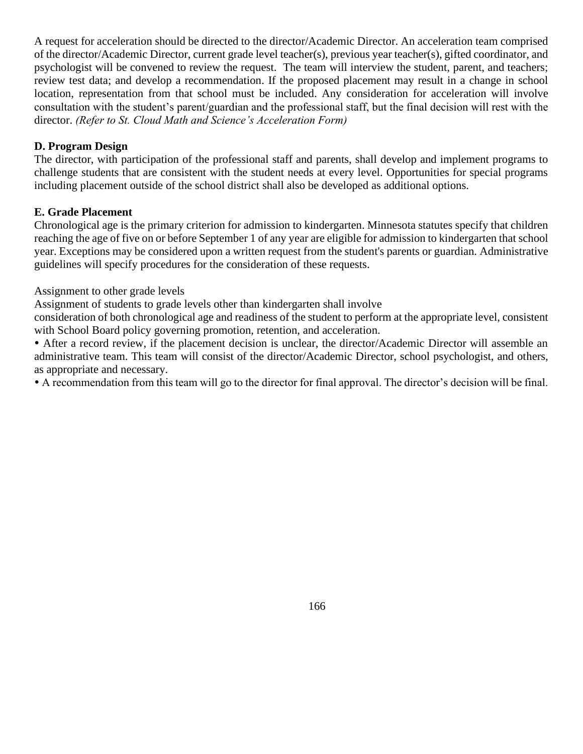A request for acceleration should be directed to the director/Academic Director. An acceleration team comprised of the director/Academic Director, current grade level teacher(s), previous year teacher(s), gifted coordinator, and psychologist will be convened to review the request. The team will interview the student, parent, and teachers; review test data; and develop a recommendation. If the proposed placement may result in a change in school location, representation from that school must be included. Any consideration for acceleration will involve consultation with the student's parent/guardian and the professional staff, but the final decision will rest with the director. *(Refer to St. Cloud Math and Science's Acceleration Form)*

### **D. Program Design**

The director, with participation of the professional staff and parents, shall develop and implement programs to challenge students that are consistent with the student needs at every level. Opportunities for special programs including placement outside of the school district shall also be developed as additional options.

# **E. Grade Placement**

Chronological age is the primary criterion for admission to kindergarten. Minnesota statutes specify that children reaching the age of five on or before September 1 of any year are eligible for admission to kindergarten that school year. Exceptions may be considered upon a written request from the student's parents or guardian. Administrative guidelines will specify procedures for the consideration of these requests.

Assignment to other grade levels

Assignment of students to grade levels other than kindergarten shall involve

consideration of both chronological age and readiness of the student to perform at the appropriate level, consistent with School Board policy governing promotion, retention, and acceleration.

 After a record review, if the placement decision is unclear, the director/Academic Director will assemble an administrative team. This team will consist of the director/Academic Director, school psychologist, and others, as appropriate and necessary.

A recommendation from this team will go to the director for final approval. The director's decision will be final.

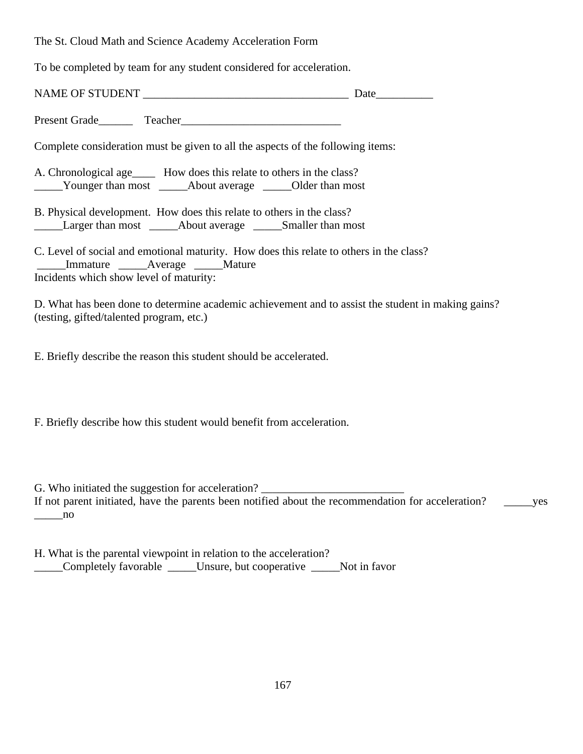The St. Cloud Math and Science Academy Acceleration Form

To be completed by team for any student considered for acceleration.

| Complete consideration must be given to all the aspects of the following items:                                                                               |  |
|---------------------------------------------------------------------------------------------------------------------------------------------------------------|--|
| A. Chronological age How does this relate to others in the class?<br>_____Younger than most ______About average _____Older than most                          |  |
| B. Physical development. How does this relate to others in the class?                                                                                         |  |
| C. Level of social and emotional maturity. How does this relate to others in the class?<br>Immature Average Mature<br>Incidents which show level of maturity: |  |
| D. What has been done to determine academic achievement and to assist the student in making gains?<br>(testing, gifted/talented program, etc.)                |  |

E. Briefly describe the reason this student should be accelerated.

F. Briefly describe how this student would benefit from acceleration.

G. Who initiated the suggestion for acceleration? If not parent initiated, have the parents been notified about the recommendation for acceleration? \_\_\_\_\_\_yes \_\_\_\_\_no

H. What is the parental viewpoint in relation to the acceleration? \_\_\_\_\_Completely favorable \_\_\_\_\_Unsure, but cooperative \_\_\_\_\_Not in favor